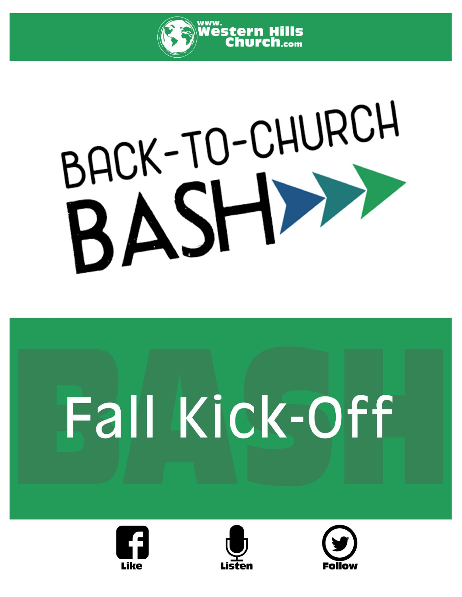

# BACK-TO-CHURCH

# Fall Kick-Off





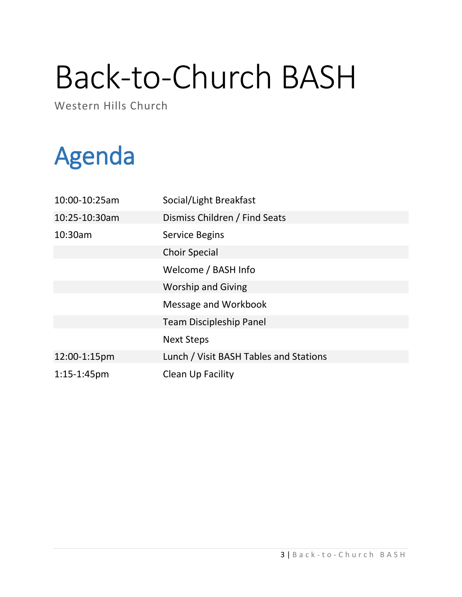# Back-to-Church BASH

Western Hills Church

# Agenda

| 10:00-10:25am  | Social/Light Breakfast                 |
|----------------|----------------------------------------|
| 10:25-10:30am  | Dismiss Children / Find Seats          |
| 10:30am        | <b>Service Begins</b>                  |
|                | <b>Choir Special</b>                   |
|                | Welcome / BASH Info                    |
|                | <b>Worship and Giving</b>              |
|                | Message and Workbook                   |
|                | <b>Team Discipleship Panel</b>         |
|                | <b>Next Steps</b>                      |
| 12:00-1:15pm   | Lunch / Visit BASH Tables and Stations |
| $1:15-1:45$ pm | Clean Up Facility                      |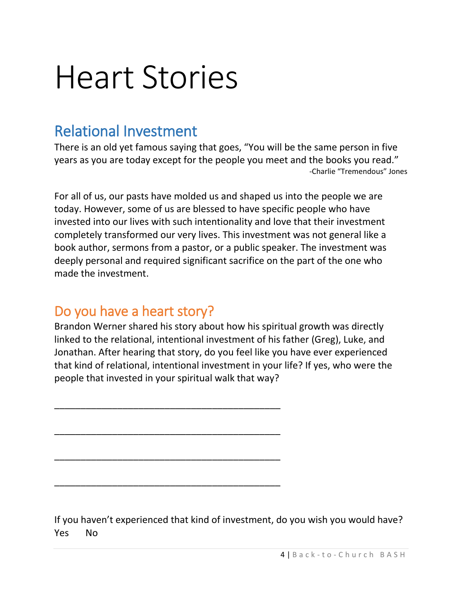# Heart Stories

# Relational Investment

There is an old yet famous saying that goes, "You will be the same person in five years as you are today except for the people you meet and the books you read." -Charlie "Tremendous" Jones

For all of us, our pasts have molded us and shaped us into the people we are today. However, some of us are blessed to have specific people who have invested into our lives with such intentionality and love that their investment completely transformed our very lives. This investment was not general like a book author, sermons from a pastor, or a public speaker. The investment was deeply personal and required significant sacrifice on the part of the one who made the investment.

### Do you have a heart story?

\_\_\_\_\_\_\_\_\_\_\_\_\_\_\_\_\_\_\_\_\_\_\_\_\_\_\_\_\_\_\_\_\_\_\_\_\_\_\_\_\_\_\_

\_\_\_\_\_\_\_\_\_\_\_\_\_\_\_\_\_\_\_\_\_\_\_\_\_\_\_\_\_\_\_\_\_\_\_\_\_\_\_\_\_\_\_

\_\_\_\_\_\_\_\_\_\_\_\_\_\_\_\_\_\_\_\_\_\_\_\_\_\_\_\_\_\_\_\_\_\_\_\_\_\_\_\_\_\_\_

\_\_\_\_\_\_\_\_\_\_\_\_\_\_\_\_\_\_\_\_\_\_\_\_\_\_\_\_\_\_\_\_\_\_\_\_\_\_\_\_\_\_\_

Brandon Werner shared his story about how his spiritual growth was directly linked to the relational, intentional investment of his father (Greg), Luke, and Jonathan. After hearing that story, do you feel like you have ever experienced that kind of relational, intentional investment in your life? If yes, who were the people that invested in your spiritual walk that way?

If you haven't experienced that kind of investment, do you wish you would have? Yes No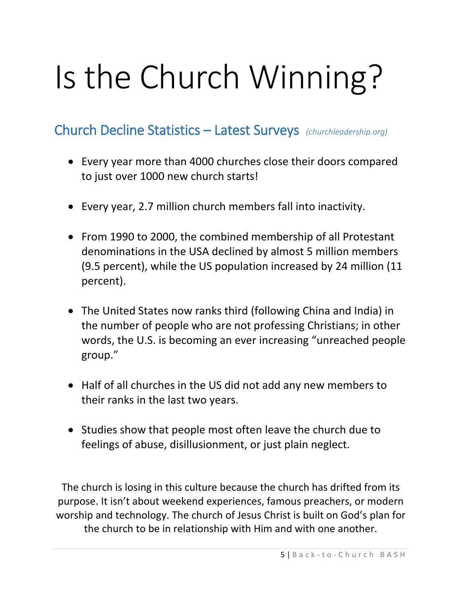# Is the Church Winning?

#### Church Decline Statistics – Latest Surveys *(churchleadership.org)*

- Every year more than 4000 churches close their doors compared to just over 1000 new church starts!
- Every year, 2.7 million church members fall into inactivity.
- From 1990 to 2000, the combined membership of all Protestant denominations in the USA declined by almost 5 million members (9.5 percent), while the US population increased by 24 million (11 percent).
- The United States now ranks third (following China and India) in the number of people who are not professing Christians; in other words, the U.S. is becoming an ever increasing "unreached people group."
- Half of all churches in the US did not add any new members to their ranks in the last two years.
- Studies show that people most often leave the church due to feelings of abuse, disillusionment, or just plain neglect.

The church is losing in this culture because the church has drifted from its purpose. It isn't about weekend experiences, famous preachers, or modern worship and technology. The church of Jesus Christ is built on God's plan for the church to be in relationship with Him and with one another.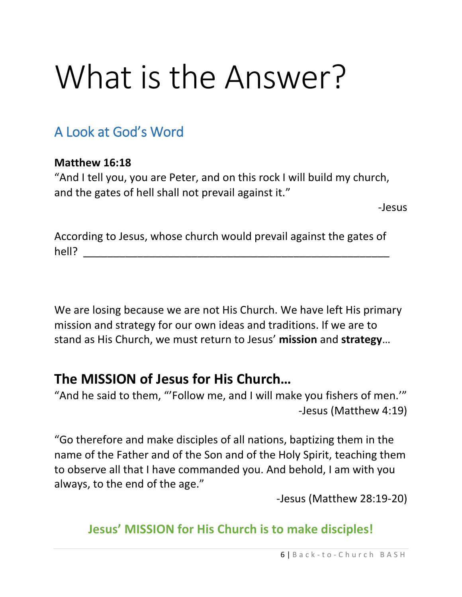# What is the Answer?

# A Look at God's Word

#### **Matthew 16:18**

"And I tell you, you are Peter, and on this rock I will build my church, and the gates of hell shall not prevail against it."

-Jesus

According to Jesus, whose church would prevail against the gates of hell? \_\_\_\_\_\_\_\_\_\_\_\_\_\_\_\_\_\_\_\_\_\_\_\_\_\_\_\_\_\_\_\_\_\_\_\_\_\_\_\_\_\_\_\_\_\_\_\_\_\_\_

We are losing because we are not His Church. We have left His primary mission and strategy for our own ideas and traditions. If we are to stand as His Church, we must return to Jesus' **mission** and **strategy**…

### **The MISSION of Jesus for His Church…**

"And he said to them, "'Follow me, and I will make you fishers of men.'" -Jesus (Matthew 4:19)

"Go therefore and make disciples of all nations, baptizing them in the name of the Father and of the Son and of the Holy Spirit, teaching them to observe all that I have commanded you. And behold, I am with you always, to the end of the age."

-Jesus (Matthew 28:19-20)

### **Jesus' MISSION for His Church is to make disciples!**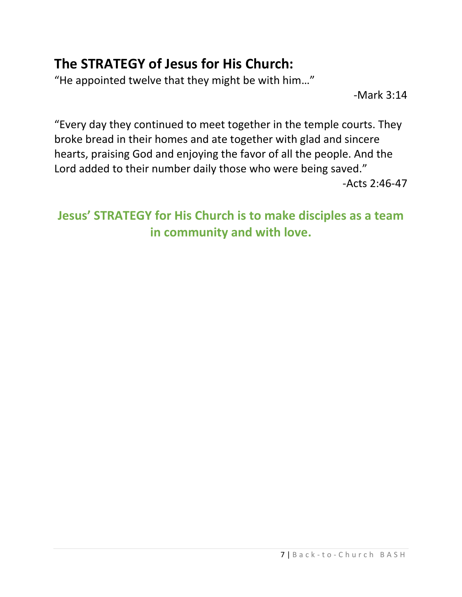# **The STRATEGY of Jesus for His Church:**

"He appointed twelve that they might be with him…"

-Mark 3:14

"Every day they continued to meet together in the temple courts. They broke bread in their homes and ate together with glad and sincere hearts, praising God and enjoying the favor of all the people. And the Lord added to their number daily those who were being saved." -Acts 2:46-47

## **Jesus' STRATEGY for His Church is to make disciples as a team in community and with love.**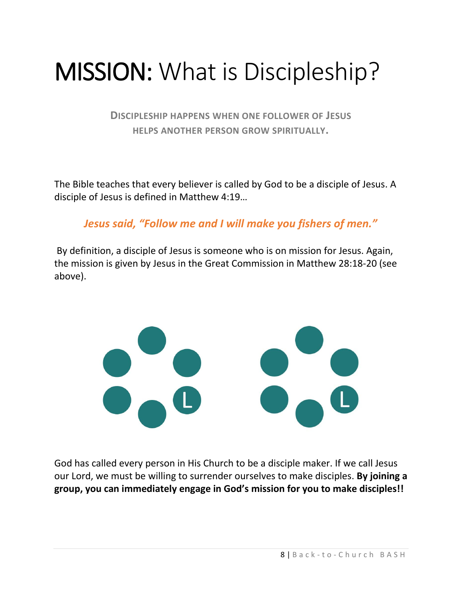# MISSION: What is Discipleship?

**DISCIPLESHIP HAPPENS WHEN ONE FOLLOWER OF JESUS HELPS ANOTHER PERSON GROW SPIRITUALLY.**

The Bible teaches that every believer is called by God to be a disciple of Jesus. A disciple of Jesus is defined in Matthew 4:19…

*Jesus said, "Follow me and I will make you fishers of men."*

By definition, a disciple of Jesus is someone who is on mission for Jesus. Again, the mission is given by Jesus in the Great Commission in Matthew 28:18-20 (see above).



God has called every person in His Church to be a disciple maker. If we call Jesus our Lord, we must be willing to surrender ourselves to make disciples. **By joining a group, you can immediately engage in God's mission for you to make disciples!!**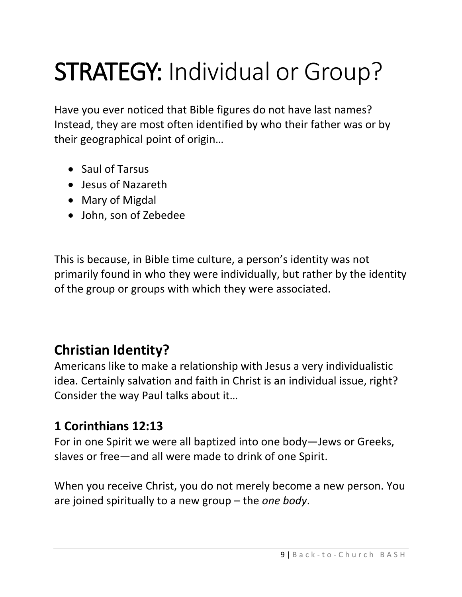# STRATEGY: Individual or Group?

Have you ever noticed that Bible figures do not have last names? Instead, they are most often identified by who their father was or by their geographical point of origin…

- Saul of Tarsus
- Jesus of Nazareth
- Mary of Migdal
- John, son of Zebedee

This is because, in Bible time culture, a person's identity was not primarily found in who they were individually, but rather by the identity of the group or groups with which they were associated.

# **Christian Identity?**

Americans like to make a relationship with Jesus a very individualistic idea. Certainly salvation and faith in Christ is an individual issue, right? Consider the way Paul talks about it…

#### **1 Corinthians 12:13**

For in one Spirit we were all baptized into one body—Jews or Greeks, slaves or free—and all were made to drink of one Spirit.

When you receive Christ, you do not merely become a new person. You are joined spiritually to a new group – the *one body*.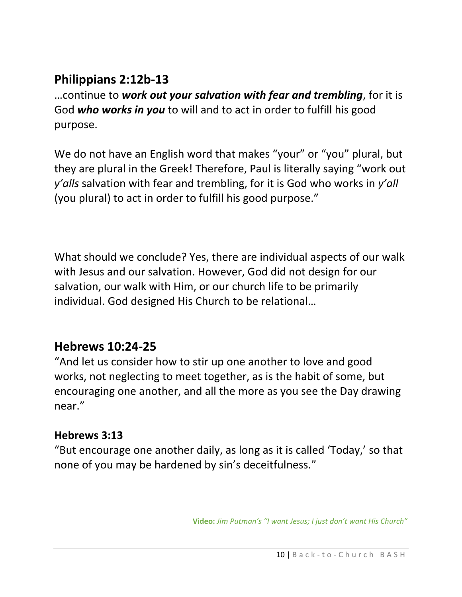#### **Philippians 2:12b-13**

…continue to *work out your salvation with fear and trembling*, for it is God *who works in you* to will and to act in order to fulfill his good purpose.

We do not have an English word that makes "your" or "you" plural, but they are plural in the Greek! Therefore, Paul is literally saying "work out *y'alls* salvation with fear and trembling, for it is God who works in *y'all* (you plural) to act in order to fulfill his good purpose."

What should we conclude? Yes, there are individual aspects of our walk with Jesus and our salvation. However, God did not design for our salvation, our walk with Him, or our church life to be primarily individual. God designed His Church to be relational…

#### **Hebrews 10:24-25**

"And let us consider how to stir up one another to love and good works, not neglecting to meet together, as is the habit of some, but encouraging one another, and all the more as you see the Day drawing near."

#### **Hebrews 3:13**

"But encourage one another daily, as long as it is called 'Today,' so that none of you may be hardened by sin's deceitfulness."

**Video:** *Jim Putman's "I want Jesus; I just don't want His Church"*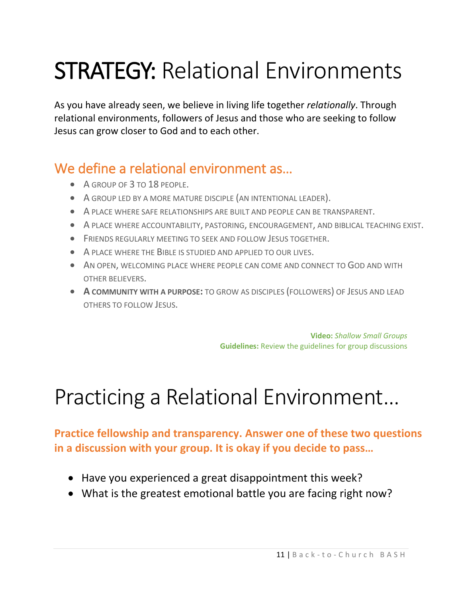# STRATEGY: Relational Environments

As you have already seen, we believe in living life together *relationally*. Through relational environments, followers of Jesus and those who are seeking to follow Jesus can grow closer to God and to each other.

## We define a relational environment as...

- A GROUP OF 3 TO 18 PEOPLE.
- A GROUP LED BY A MORE MATURE DISCIPLE (AN INTENTIONAL LEADER).
- A PLACE WHERE SAFE RELATIONSHIPS ARE BUILT AND PEOPLE CAN BE TRANSPARENT.
- A PLACE WHERE ACCOUNTABILITY, PASTORING, ENCOURAGEMENT, AND BIBLICAL TEACHING EXIST.
- FRIENDS REGULARLY MEETING TO SEEK AND FOLLOW JESUS TOGETHER.
- A PLACE WHERE THE BIBLE IS STUDIED AND APPLIED TO OUR LIVES.
- AN OPEN, WELCOMING PLACE WHERE PEOPLE CAN COME AND CONNECT TO GOD AND WITH OTHER BELIEVERS.
- **A COMMUNITY WITH A PURPOSE:** TO GROW AS DISCIPLES (FOLLOWERS) OF JESUS AND LEAD OTHERS TO FOLLOW JESUS.

**Video:** *Shallow Small Groups* **Guidelines:** Review the guidelines for group discussions

# Practicing a Relational Environment…

**Practice fellowship and transparency. Answer one of these two questions in a discussion with your group. It is okay if you decide to pass…**

- Have you experienced a great disappointment this week?
- What is the greatest emotional battle you are facing right now?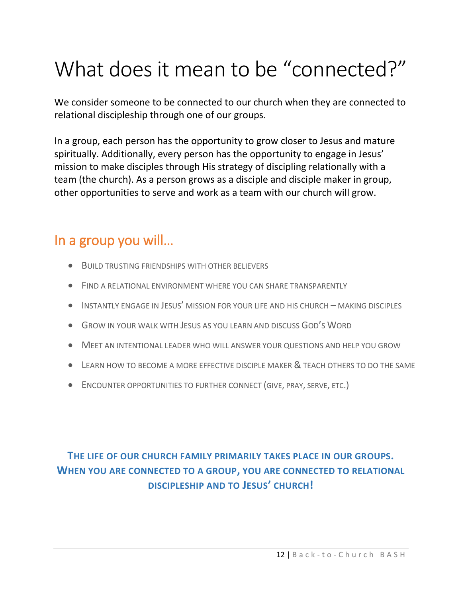# What does it mean to be "connected?"

We consider someone to be connected to our church when they are connected to relational discipleship through one of our groups.

In a group, each person has the opportunity to grow closer to Jesus and mature spiritually. Additionally, every person has the opportunity to engage in Jesus' mission to make disciples through His strategy of discipling relationally with a team (the church). As a person grows as a disciple and disciple maker in group, other opportunities to serve and work as a team with our church will grow.

#### In a group you will…

- BUILD TRUSTING FRIENDSHIPS WITH OTHER BELIEVERS
- FIND A RELATIONAL ENVIRONMENT WHERE YOU CAN SHARE TRANSPARENTLY
- INSTANTLY ENGAGE IN JESUS' MISSION FOR YOUR LIFE AND HIS CHURCH MAKING DISCIPLES
- GROW IN YOUR WALK WITH JESUS AS YOU LEARN AND DISCUSS GOD'S WORD
- MEET AN INTENTIONAL LEADER WHO WILL ANSWER YOUR QUESTIONS AND HELP YOU GROW
- LEARN HOW TO BECOME A MORE EFFECTIVE DISCIPLE MAKER & TEACH OTHERS TO DO THE SAME
- ENCOUNTER OPPORTUNITIES TO FURTHER CONNECT (GIVE, PRAY, SERVE, ETC.)

#### **THE LIFE OF OUR CHURCH FAMILY PRIMARILY TAKES PLACE IN OUR GROUPS. WHEN YOU ARE CONNECTED TO A GROUP, YOU ARE CONNECTED TO RELATIONAL DISCIPLESHIP AND TO JESUS' CHURCH!**